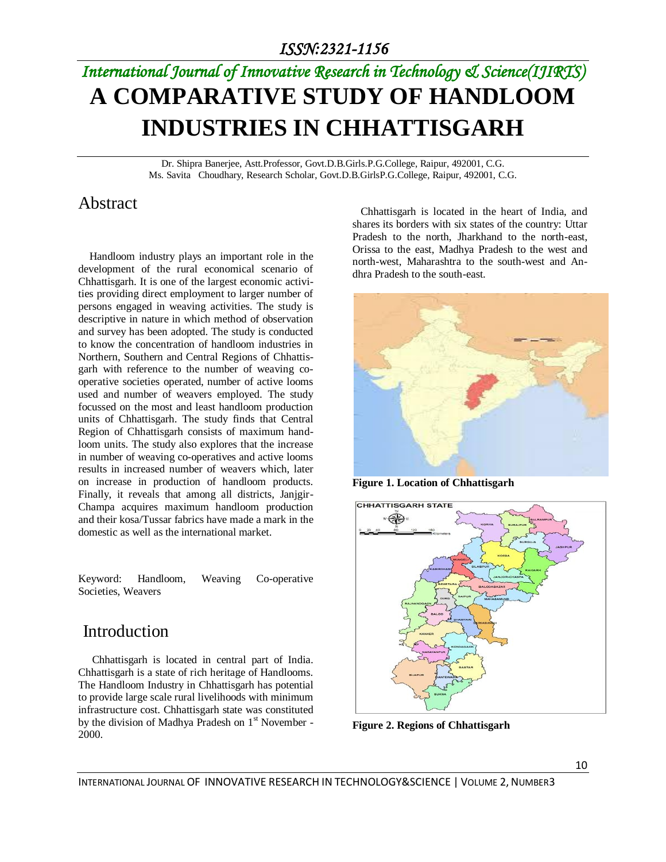# *International Journal of Innovative Research in Technology & Science(IJIRTS)* **A COMPARATIVE STUDY OF HANDLOOM INDUSTRIES IN CHHATTISGARH**

Dr. Shipra Banerjee, Astt.Professor, Govt.D.B.Girls.P.G.College, Raipur, 492001, C.G. Ms. Savita Choudhary, Research Scholar, Govt.D.B.GirlsP.G.College, Raipur, 492001, C.G.

# Abstract

 Handloom industry plays an important role in the development of the rural economical scenario of Chhattisgarh. It is one of the largest economic activities providing direct employment to larger number of persons engaged in weaving activities. The study is descriptive in nature in which method of observation and survey has been adopted. The study is conducted to know the concentration of handloom industries in Northern, Southern and Central Regions of Chhattisgarh with reference to the number of weaving cooperative societies operated, number of active looms used and number of weavers employed. The study focussed on the most and least handloom production units of Chhattisgarh. The study finds that Central Region of Chhattisgarh consists of maximum handloom units. The study also explores that the increase in number of weaving co-operatives and active looms results in increased number of weavers which, later on increase in production of handloom products. Finally, it reveals that among all districts, Janjgir-Champa acquires maximum handloom production and their kosa/Tussar fabrics have made a mark in the domestic as well as the international market.

Keyword: Handloom, Weaving Co-operative Societies, Weavers

# Introduction

 [Chhattisgarh](http://www.unnatisilks.com/sarees-online/by-indian-states-sarees/chattisgarh-sarees.html) is located in central part of India. Chhattisgarh is a state of rich heritage of Handlooms. The Handloom Industry in Chhattisgarh has potential to provide large scale rural livelihoods with minimum infrastructure cost. Chhattisgarh state was constituted by the division of Madhya Pradesh on 1st November -2000.

 Chhattisgarh is located in the heart of India, and shares its borders with six states of the country: Uttar Pradesh to the north, Jharkhand to the north-east, Orissa to the east, Madhya Pradesh to the west and north-west, Maharashtra to the south-west and Andhra Pradesh to the south-east.



**Figure 1. Location of Chhattisgarh** 



**Figure 2. Regions of Chhattisgarh**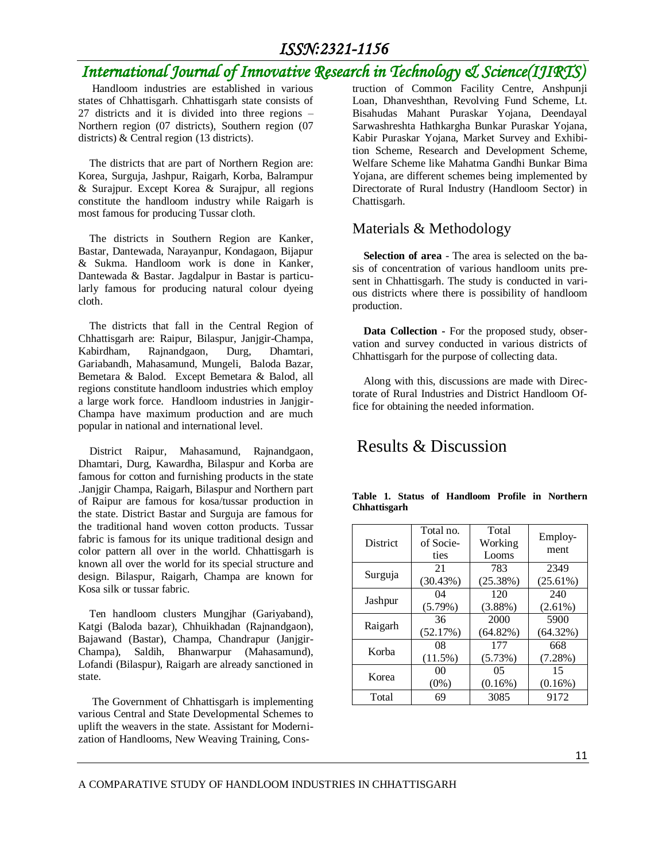# *ISSN:2321-1156*

# *International Journal of Innovative Research in Technology & Science(IJIRTS)*

 Handloom industries are established in various states of Chhattisgarh. Chhattisgarh state consists of 27 districts and it is divided into three regions – Northern region (07 districts), Southern region (07 districts) & Central region (13 districts).

 The districts that are part of Northern Region are: Korea, Surguja, Jashpur, Raigarh, Korba, Balrampur & Surajpur. Except Korea & Surajpur, all regions constitute the handloom industry while Raigarh is most famous for producing Tussar cloth.

 The districts in Southern Region are Kanker, Bastar, Dantewada, Narayanpur, Kondagaon, Bijapur & Sukma. Handloom work is done in Kanker, Dantewada & Bastar. Jagdalpur in Bastar is particularly famous for producing natural colour dyeing cloth.

 The districts that fall in the Central Region of Chhattisgarh are: Raipur, Bilaspur, Janjgir-Champa, Kabirdham, Rajnandgaon, Durg, Dhamtari, Gariabandh, Mahasamund, Mungeli, Baloda Bazar, Bemetara & Balod. Except Bemetara & Balod, all regions constitute handloom industries which employ a large work force. Handloom industries in Janjgir-Champa have maximum production and are much popular in national and international level.

 District Raipur, Mahasamund, Rajnandgaon, Dhamtari, Durg, Kawardha, Bilaspur and Korba are famous for cotton and furnishing products in the state .Janjgir Champa, Raigarh, Bilaspur and Northern part of Raipur are famous for kosa/tussar production in the state. District Bastar and Surguja are famous for the traditional hand woven cotton products. Tussar fabric is famous for its unique traditional design and color pattern all over in the world. Chhattisgarh is known all over the world for its special structure and design. Bilaspur, Raigarh, Champa are known for Kosa silk or tussar fabric.

 Ten handloom clusters Mungjhar (Gariyaband), Katgi (Baloda bazar), Chhuikhadan (Rajnandgaon), Bajawand (Bastar), Champa, Chandrapur (Janjgir-Champa), Saldih, Bhanwarpur (Mahasamund), Lofandi (Bilaspur), Raigarh are already sanctioned in state.

 The Government of Chhattisgarh is implementing various Central and State Developmental Schemes to uplift the weavers in the state. Assistant for Modernization of Handlooms, New Weaving Training, Construction of Common Facility Centre, Anshpunji Loan, Dhanveshthan, Revolving Fund Scheme, Lt. Bisahudas Mahant Puraskar Yojana, Deendayal Sarwashreshta Hathkargha Bunkar Puraskar Yojana, Kabir Puraskar Yojana, Market Survey and Exhibition Scheme, Research and Development Scheme, Welfare Scheme like Mahatma Gandhi Bunkar Bima Yojana, are different schemes being implemented by Directorate of Rural Industry (Handloom Sector) in Chattisgarh.

#### Materials & Methodology

 **Selection of area** - The area is selected on the basis of concentration of various handloom units present in Chhattisgarh. The study is conducted in various districts where there is possibility of handloom production.

 **Data Collection -** For the proposed study, observation and survey conducted in various districts of Chhattisgarh for the purpose of collecting data.

 Along with this, discussions are made with Directorate of Rural Industries and District Handloom Office for obtaining the needed information.

# Results & Discussion

| <b>District</b>        | Total no.<br>of Socie-<br>ties | Total<br>Working<br>Looms | Employ-<br>ment  |
|------------------------|--------------------------------|---------------------------|------------------|
| Surguja                | 21                             | 783                       | 2349             |
|                        | (30.43%)                       | $(25.38\%)$               | (25.61%)         |
| Jashpur                | 04                             | 120                       | 240              |
|                        | (5.79%)                        | $(3.88\%)$                | $(2.61\%)$       |
| Raigarh                | 36                             | 2000                      | 5900             |
|                        | (52.17%)                       | (64.82%)                  | (64.32%)         |
| Korba                  | 08                             | 177                       | 668              |
|                        | $(11.5\%)$                     | (5.73%)                   | $(7.28\%)$       |
| 00<br>Korea<br>$(0\%)$ |                                | 05<br>$(0.16\%)$          | 15<br>$(0.16\%)$ |
| Total                  | 69                             | 3085                      | 9172             |

|              |  | Table 1. Status of Handloom Profile in Northern |  |  |
|--------------|--|-------------------------------------------------|--|--|
| Chhattisgarh |  |                                                 |  |  |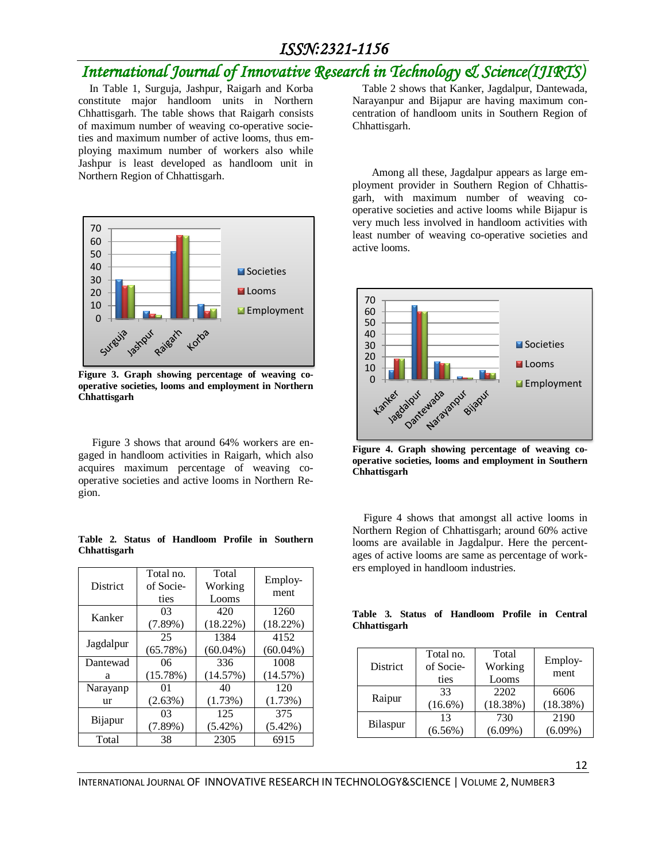## *ISSN:2321-1156*

# *International Journal of Innovative Research in Technology & Science(IJIR)*

 In Table 1, Surguja, Jashpur, Raigarh and Korba constitute major handloom units in Northern Chhattisgarh. The table shows that Raigarh consists of maximum number of weaving co-operative societies and maximum number of active looms, thus employing maximum number of workers also while Jashpur is least developed as handloom unit in Northern Region of Chhattisgarh.



**Figure 3. Graph showing percentage of weaving cooperative societies, looms and employment in Northern Chhattisgarh**

 Figure 3 shows that around 64% workers are engaged in handloom activities in Raigarh, which also acquires maximum percentage of weaving cooperative societies and active looms in Northern Region.

#### **Table 2. Status of Handloom Profile in Southern Chhattisgarh**

| <b>District</b> | Total no.<br>of Socie- | Total<br>Working | Employ-<br>ment |  |
|-----------------|------------------------|------------------|-----------------|--|
|                 | ties                   | Looms            |                 |  |
| Kanker          | 03                     | 420              | 1260            |  |
|                 | $(7.89\%)$             | (18.22%)         | (18.22%)        |  |
| Jagdalpur       | 25                     | 1384             | 4152            |  |
|                 | (65.78%)               | $(60.04\%)$      | $(60.04\%)$     |  |
| Dantewad        | 06                     | 336              | 1008            |  |
| a               | (15.78%)               | (14.57%)         | (14.57%)        |  |
| Narayanp        | 01                     | 40               | 120             |  |
| ur              | (2.63%)                | (1.73%)          | (1.73%)         |  |
| Bijapur         | 03                     | 125              | 375             |  |
|                 | $(7.89\%)$             | $(5.42\%)$       | $(5.42\%)$      |  |
| Total           | 38                     | 2305             | 6915            |  |

Table 2 shows that Kanker, Jagdalpur, Dantewada, Narayanpur and Bijapur are having maximum concentration of handloom units in Southern Region of Chhattisgarh.

 Among all these, Jagdalpur appears as large employment provider in Southern Region of Chhattisgarh, with maximum number of weaving cooperative societies and active looms while Bijapur is very much less involved in handloom activities with least number of weaving co-operative societies and active looms.



**Figure 4. Graph showing percentage of weaving cooperative societies, looms and employment in Southern Chhattisgarh**

 Figure 4 shows that amongst all active looms in Northern Region of Chhattisgarh; around 60% active looms are available in Jagdalpur. Here the percentages of active looms are same as percentage of workers employed in handloom industries.

#### **Table 3. Status of Handloom Profile in Central Chhattisgarh**

| <b>District</b> | Total no.<br>of Socie-<br>ties | Total<br>Working<br>Looms | Employ-<br>ment |
|-----------------|--------------------------------|---------------------------|-----------------|
| Raipur          | 33                             | 2202                      | 6606            |
|                 | $(16.6\%)$                     | (18.38%)                  | (18.38%)        |
| Bilaspur        | 13                             | 730                       | 2190            |
|                 | $(6.56\%)$                     | $(6.09\%)$                | $(6.09\%)$      |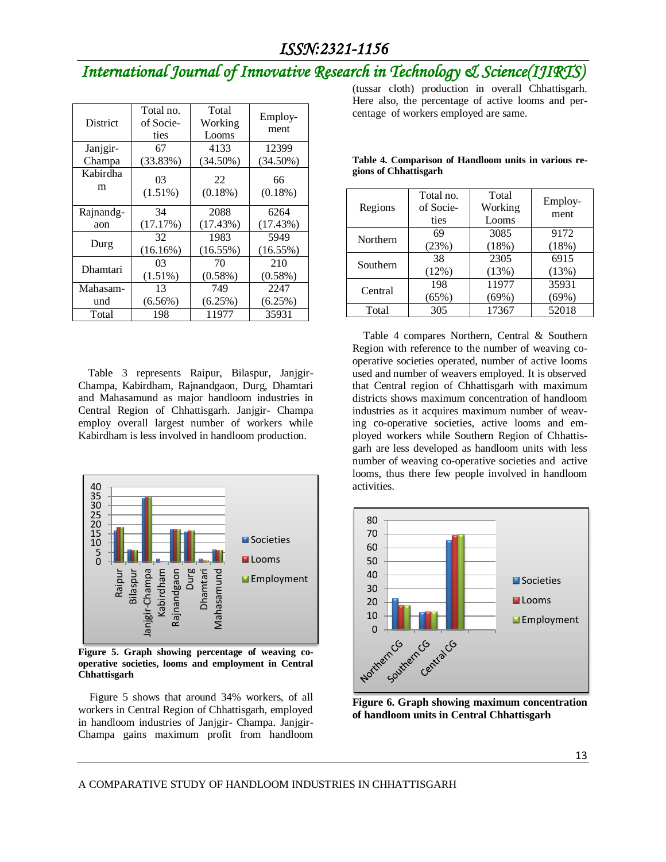# *International Journal of Innovative Research in Technology & Science(IJIRTS)*

| <b>District</b> | Total no.<br>of Socie-<br>ties | Total<br>Working<br>Looms | Employ-<br>ment     |
|-----------------|--------------------------------|---------------------------|---------------------|
| Janjgir-        | 67                             | 4133                      | 12399               |
| Champa          | (33.83%)                       | $(34.50\%)$               | $(34.50\%)$         |
| Kabirdha<br>m   | 03<br>$(1.51\%)$               | 22<br>$(0.18\%)$          | 66<br>$(0.18\%)$    |
| Rajnandg-       | 34                             | 2088                      | 6264                |
| aon             | (17.17%)                       | (17.43%)                  | (17.43%)            |
| Durg            | 32<br>(16.16%)                 | 1983<br>$(16.55\%)$       | 5949<br>$(16.55\%)$ |
| Dhamtari        | 03                             | 70                        | 210                 |
|                 | $(1.51\%)$                     | $(0.58\%)$                | $(0.58\%)$          |
| Mahasam-        | 13                             | 749                       | 2247                |
| und             | $(6.56\%)$                     | (6.25%)                   | (6.25%)             |
| Total           | 198                            | 11977                     | 35931               |

Table 3 represents Raipur, Bilaspur, Janjgir-Champa, Kabirdham, Rajnandgaon, Durg, Dhamtari and Mahasamund as major handloom industries in Central Region of Chhattisgarh. Janjgir- Champa employ overall largest number of workers while Kabirdham is less involved in handloom production.



**Figure 5. Graph showing percentage of weaving cooperative societies, looms and employment in Central Chhattisgarh**

 Figure 5 shows that around 34% workers, of all workers in Central Region of Chhattisgarh, employed in handloom industries of Janjgir- Champa. Janjgir-Champa gains maximum profit from handloom

(tussar cloth) production in overall Chhattisgarh. Here also, the percentage of active looms and percentage of workers employed are same.

| Regions  | Total no.<br>of Socie-<br>ties | Total<br>Working<br>Looms | Employ-<br>ment |
|----------|--------------------------------|---------------------------|-----------------|
| Northern | 69                             | 3085                      | 9172            |
|          | (23%)                          | (18%)                     | (18%)           |
| Southern | 38                             | 2305                      | 6915            |
|          | (12%)                          | (13%)                     | (13%)           |
| Central  | 198                            | 11977                     | 35931           |
|          | (65%)                          | (69%)                     | (69%)           |
| Total    | 305                            | 17367                     | 52018           |

**Table 4. Comparison of Handloom units in various regions of Chhattisgarh**

 Table 4 compares Northern, Central & Southern Region with reference to the number of weaving cooperative societies operated, number of active looms used and number of weavers employed. It is observed that Central region of Chhattisgarh with maximum districts shows maximum concentration of handloom industries as it acquires maximum number of weaving co-operative societies, active looms and employed workers while Southern Region of Chhattisgarh are less developed as handloom units with less number of weaving co-operative societies and active looms, thus there few people involved in handloom activities.



**Figure 6. Graph showing maximum concentration of handloom units in Central Chhattisgarh**